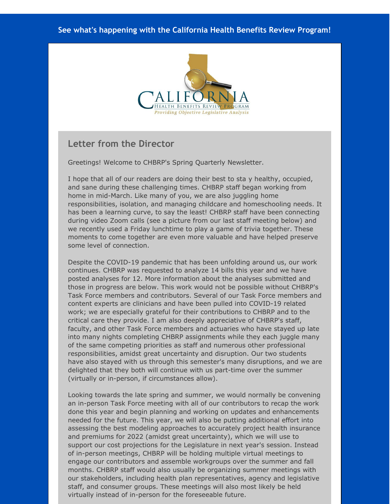#### **See what's happening with the California Health Benefits Review Program!**



### **Letter from the Director**

Greetings! Welcome to CHBRP's Spring Quarterly Newsletter.

I hope that all of our readers are doing their best to sta y healthy, occupied, and sane during these challenging times. CHBRP staff began working from home in mid-March. Like many of you, we are also juggling home responsibilities, isolation, and managing childcare and homeschooling needs. It has been a learning curve, to say the least! CHBRP staff have been connecting during video Zoom calls (see a picture from our last staff meeting below) and we recently used a Friday lunchtime to play a game of trivia together. These moments to come together are even more valuable and have helped preserve some level of connection.

Despite the COVID-19 pandemic that has been unfolding around us, our work continues. CHBRP was requested to analyze 14 bills this year and we have posted analyses for 12. More information about the analyses submitted and those in progress are below. This work would not be possible without CHBRP's Task Force members and contributors. Several of our Task Force members and content experts are clinicians and have been pulled into COVID-19 related work; we are especially grateful for their contributions to CHBRP and to the critical care they provide. I am also deeply appreciative of CHBRP's staff, faculty, and other Task Force members and actuaries who have stayed up late into many nights completing CHBRP assignments while they each juggle many of the same competing priorities as staff and numerous other professional responsibilities, amidst great uncertainty and disruption. Our two students have also stayed with us through this semester's many disruptions, and we are delighted that they both will continue with us part-time over the summer (virtually or in-person, if circumstances allow).

Looking towards the late spring and summer, we would normally be convening an in-person Task Force meeting with all of our contributors to recap the work done this year and begin planning and working on updates and enhancements needed for the future. This year, we will also be putting additional effort into assessing the best modeling approaches to accurately project health insurance and premiums for 2022 (amidst great uncertainty), which we will use to support our cost projections for the Legislature in next year's session. Instead of in-person meetings, CHBRP will be holding multiple virtual meetings to engage our contributors and assemble workgroups over the summer and fall months. CHBRP staff would also usually be organizing summer meetings with our stakeholders, including health plan representatives, agency and legislative staff, and consumer groups. These meetings will also most likely be held virtually instead of in-person for the foreseeable future.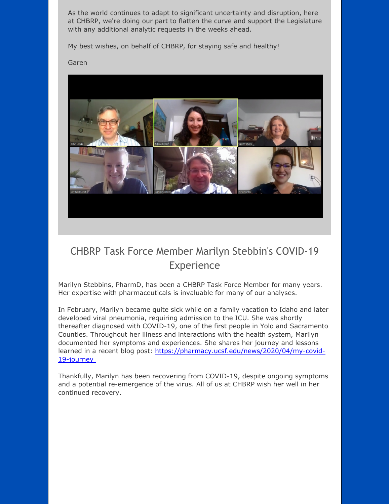As the world continues to adapt to significant uncertainty and disruption, here at CHBRP, we're doing our part to flatten the curve and support the Legislature with any additional analytic requests in the weeks ahead.

My best wishes, on behalf of CHBRP, for staying safe and healthy!

Garen



# CHBRP Task Force Member Marilyn Stebbin's COVID-19 Experience

Marilyn Stebbins, PharmD, has been a CHBRP Task Force Member for many years. Her expertise with pharmaceuticals is invaluable for many of our analyses.

In February, Marilyn became quite sick while on a family vacation to Idaho and later developed viral pneumonia, requiring admission to the ICU. She was shortly thereafter diagnosed with COVID-19, one of the first people in Yolo and Sacramento Counties. Throughout her illness and interactions with the health system, Marilyn documented her symptoms and experiences. She shares her journey and lessons learned in a recent blog post: [https://pharmacy.ucsf.edu/news/2020/04/my-covid-](http://r20.rs6.net/tn.jsp?f=001b-hEsU5zRYRMZG0F9M8S2BG_kDeqccC0Zik-gT-TzKaeo6WmQ-tj7PKETVHar8scIwZFoFzpbtNl6nkT8M56ZBPnWTHTN03Qj5xMJQD2Vaa-qP_vO_f0OoeK5o5v6NC1W94Bh3UV9E_zmqxhjzrEWl-MsEryux902u7HA4k605Tu1w-nz_P78_5of2hbJ2CpSGwF-rcamAIa6dNRucAXwGo-KpBaY1bPy1o0ygfyqN1v0g2tFBlgux-ygn02sZOTiyxKOpN2VHgd5uO5yikxgiEdpkz2Xojmd7Vv87RcCct8eVNEgLeZURuw7vNJIB_An--48BzPGVaEQpDe2wJXWI1Acpm69z_X2Jq9EfPEj7MDVBlr7FzL4nuF8L_Im07y&c=&ch=)19-journey

Thankfully, Marilyn has been recovering from COVID-19, despite ongoing symptoms and a potential re-emergence of the virus. All of us at CHBRP wish her well in her continued recovery.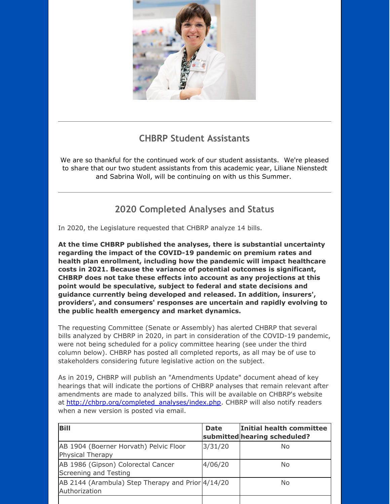

# **CHBRP Student Assistants**

We are so thankful for the continued work of our student assistants. We're pleased to share that our two student assistants from this academic year, Liliane Nienstedt and Sabrina Woll, will be continuing on with us this Summer.

## **2020 Completed Analyses and Status**

In 2020, the Legislature requested that CHBRP analyze 14 bills.

**At the time CHBRP published the analyses, there is substantial uncertainty regarding the impact of the COVID-19 pandemic on premium rates and health plan enrollment, including how the pandemic will impact healthcare costs in 2021. Because the variance of potential outcomes is significant, CHBRP does not take these effects into account as any projections at this point would be speculative, subject to federal and state decisions and guidance currently being developed and released. In addition, insurers', providers', and consumers' responses are uncertain and rapidly evolving to the public health emergency and market dynamics.**

The requesting Committee (Senate or Assembly) has alerted CHBRP that several bills analyzed by CHBRP in 2020, in part in consideration of the COVID-19 pandemic, were not being scheduled for a policy committee hearing (see under the third column below). CHBRP has posted all completed reports, as all may be of use to stakeholders considering future legislative action on the subject.

As in 2019, CHBRP will publish an "Amendments Update" document ahead of key hearings that will indicate the portions of CHBRP analyses that remain relevant after amendments are made to analyzed bills. This will be available on CHBRP's website at [http://chbrp.org/completed\\_analyses/index.php](http://r20.rs6.net/tn.jsp?f=001b-hEsU5zRYRMZG0F9M8S2BG_kDeqccC0Zik-gT-TzKaeo6WmQ-tj7PKETVHar8scY3Q56-OBeHZwvSqcbB8lnvkiSMdk6vKBwzj73UetRrFFJWOc8XB9w1Slr3KwQMSyE6oC5zOMCOfyVCr11ZicEMh8A4fX0GJl9FbuH1kqBHmfI3CLP-i1pcrSsuh9p3aPPBMkfXYmk2dRSMTo1UjD7yzBaKDWvXL0hP630GODmK-8Obp_Kq8p1mtHwXUdEIK3V0WKRk1xhegScYcQPFrS__QGm9-dVe4F8kEOhh5OTIcgvWACoBbHM7hIelDonp7h&c=&ch=). CHBRP will also notify readers when a new version is posted via email.

| <b>Bill</b>                                                        | <b>Date</b> | Initial health committee<br>submitted hearing scheduled? |
|--------------------------------------------------------------------|-------------|----------------------------------------------------------|
| AB 1904 (Boerner Horvath) Pelvic Floor<br>Physical Therapy         | 3/31/20     | No.                                                      |
| AB 1986 (Gipson) Colorectal Cancer<br>Screening and Testing        | 4/06/20     | No                                                       |
| AB 2144 (Arambula) Step Therapy and Prior 4/14/20<br>Authorization |             | No                                                       |
|                                                                    |             |                                                          |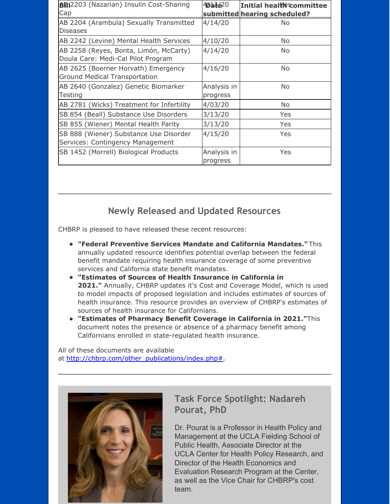| <b>BBI</b> 2203 (Nazarian) Insulin Cost-Sharing<br>Cap                       | 404620                  | <b>Initial healter committee</b><br>submitted hearing scheduled? |
|------------------------------------------------------------------------------|-------------------------|------------------------------------------------------------------|
| AB 2204 (Arambula) Sexually Transmitted<br><b>Diseases</b>                   | 4/14/20                 | No.                                                              |
| AB 2242 (Levine) Mental Health Services                                      | 4/10/20                 | No                                                               |
| AB 2258 (Reyes, Bonta, Limón, McCarty)<br>Doula Care: Medi-Cal Pilot Program | 4/14/20                 | No                                                               |
| AB 2625 (Boerner Horvath) Emergency<br><b>Ground Medical Transportation</b>  | 4/16/20                 | <b>No</b>                                                        |
| AB 2640 (Gonzalez) Genetic Biomarker<br>Testing                              | Analysis in<br>progress | <b>No</b>                                                        |
| AB 2781 (Wicks) Treatment for Infertility                                    | 4/03/20                 | No                                                               |
| SB 854 (Beall) Substance Use Disorders                                       | 3/13/20                 | Yes                                                              |
| SB 855 (Wiener) Mental Health Parity                                         | 3/13/20                 | <b>Yes</b>                                                       |
| SB 888 (Wiener) Substance Use Disorder<br>Services: Contingency Management   | 4/15/20                 | <b>Yes</b>                                                       |
| SB 1452 (Morrell) Biological Products                                        | Analysis in<br>progress | Yes                                                              |

## **Newly Released and Updated Resources**

CHBRP is pleased to have released these recent resources:

- **"Federal Preventive Services Mandate and California Mandates."** This annually updated resource identifies potential overlap between the federal benefit mandate requiring health insurance coverage of some preventive services and California state benefit mandates.
- **"Estimates of Sources of Health Insurance in California in 2021."** Annually, CHBRP updates it's Cost and Coverage Model, which is used to model impacts of proposed legislation and includes estimates of sources of health insurance. This resource provides an overview of CHBRP's estimates of sources of health insurance for Californians.
- **"Estimates of Pharmacy Benefit Coverage in California in 2021."**This document notes the presence or absence of a pharmacy benefit among Californians enrolled in state-regulated health insurance.

All of these documents are available at [http://chbrp.com/other\\_publications/index.php#](http://r20.rs6.net/tn.jsp?f=001b-hEsU5zRYRMZG0F9M8S2BG_kDeqccC0Zik-gT-TzKaeo6WmQ-tj7BdmAWTQ7kwvGVvfoBVAsD-4DyhLybJFH18mMndUmV5DX324Mf-2bPG3bmCw5nDZwFovzSwFOw4itYWCY7hGU7f5_lzzQE2VfuKy7VTKvNijpt1B6HS9Cm_5rN4BBNnVfceqx0RAnE4XRhFMJ-bOHeTNYhB3AWi6JgGQlUkxeixBboOCxw-AiJ0D0y8Hcx3G9lOV-9-rRx7er48W6ta9AWYpPkKpU7-Oica5Rt5_3lTVd81hUHpnuBP9eLPCd3lWT4tyuKpKOWJhypWfvrCS6l6tnMIBfjLSHnm_ket_JqngUi5paBmpuNs=&c=&ch=).



## **Task Force Spotlight: Nadareh Pourat, PhD**

Dr. Pourat is a Professor in Health Policy and Management at the UCLA Fielding School of Public Health, Associate Director at the UCLA Center for Health Policy Research, and Director of the Health Economics and Evaluation Research Program at the Center, as well as the Vice Chair for CHBRP's cost team.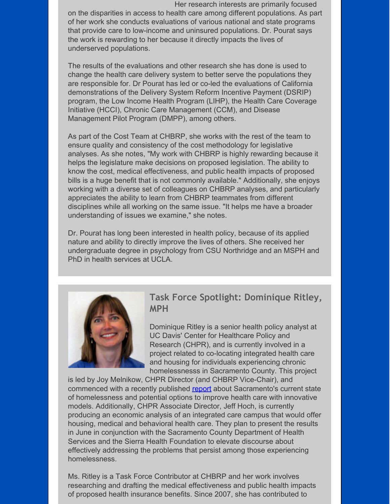Her research interests are primarily focused on the disparities in access to health care among different populations. As part of her work she conducts evaluations of various national and state programs that provide care to low-income and uninsured populations. Dr. Pourat says the work is rewarding to her because it directly impacts the lives of underserved populations.

The results of the evaluations and other research she has done is used to change the health care delivery system to better serve the populations they are responsible for. Dr Pourat has led or co-led the evaluations of California demonstrations of the Delivery System Reform Incentive Payment (DSRIP) program, the Low Income Health Program (LIHP), the Health Care Coverage Initiative (HCCI), Chronic Care Management (CCM), and Disease Management Pilot Program (DMPP), among others.

As part of the Cost Team at CHBRP, she works with the rest of the team to ensure quality and consistency of the cost methodology for legislative analyses. As she notes, "My work with CHBRP is highly rewarding because it helps the legislature make decisions on proposed legislation. The ability to know the cost, medical effectiveness, and public health impacts of proposed bills is a huge benefit that is not commonly available." Additionally, she enjoys working with a diverse set of colleagues on CHBRP analyses, and particularly appreciates the ability to learn from CHBRP teammates from different disciplines while all working on the same issue. "It helps me have a broader understanding of issues we examine," she notes.

Dr. Pourat has long been interested in health policy, because of its applied nature and ability to directly improve the lives of others. She received her undergraduate degree in psychology from CSU Northridge and an MSPH and PhD in health services at UCLA.



## **Task Force Spotlight: Dominique Ritley, MPH**

Dominique Ritley is a senior health policy analyst at UC Davis' Center for Healthcare Policy and Research (CHPR), and is currently involved in a project related to co-locating integrated health care and housing for individuals experiencing chronic homelessnesss in Sacramento County. This project

is led by Joy Melnikow, CHPR Director (and CHBRP Vice-Chair), and commenced with a recently published [report](http://r20.rs6.net/tn.jsp?f=001b-hEsU5zRYRMZG0F9M8S2BG_kDeqccC0Zik-gT-TzKaeo6WmQ-tj7PKETVHar8scIFMCAvmj50xGfvbfw64jhDUTrwIjHeTk5v8LaPhUz0TCMucHjquV3BW3R7hTgT_YWzsSTnlgDx8D4jPVVHHGGdfo46KUXMK-3IGv9A94xAh52Hb-NPW-y0gQ56wwAo6nrxKJGkSC2PVOb3sxfNvp5e2QNf2aSNBGYMvaH3kIYpJNeMIt4CaSSFcYyP2SlYj0k1cPoWBszlYury2-LzExODTKNP2H5f9RQ67VLZEzcu-7zLnEkLihZIC8Co2mA9OhXAahwvx_JB307BEGa6jAwUGxMGg-dxJch-V6UFiTgUFFImnOCUByrg==&c=&ch=) about Sacramento's current state of homelessness and potential options to improve health care with innovative models. Additionally, CHPR Associate Director, Jeff Hoch, is currently producing an economic analysis of an integrated care campus that would offer housing, medical and behavioral health care. They plan to present the results in June in conjunction with the Sacramento County Department of Health Services and the Sierra Health Foundation to elevate discourse about effectively addressing the problems that persist among those experiencing homelessness.

Ms. Ritley is a Task Force Contributor at CHBRP and her work involves researching and drafting the medical effectiveness and public health impacts of proposed health insurance benefits. Since 2007, she has contributed to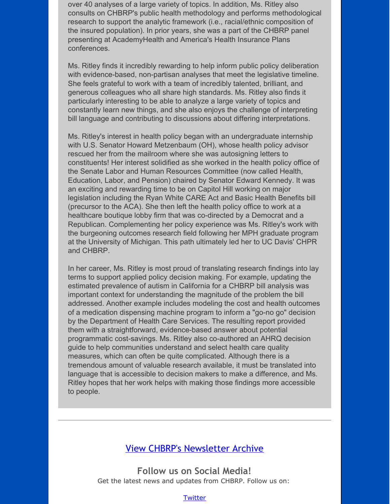over 40 analyses of a large variety of topics. In addition, Ms. Ritley also consults on CHBRP's public health methodology and performs methodological research to support the analytic framework (i.e., racial/ethnic composition of the insured population). In prior years, she was a part of the CHBRP panel presenting at AcademyHealth and America's Health Insurance Plans conferences.

Ms. Ritley finds it incredibly rewarding to help inform public policy deliberation with evidence-based, non-partisan analyses that meet the legislative timeline. She feels grateful to work with a team of incredibly talented, brilliant, and generous colleagues who all share high standards. Ms. Ritley also finds it particularly interesting to be able to analyze a large variety of topics and constantly learn new things, and she also enjoys the challenge of interpreting bill language and contributing to discussions about differing interpretations.

Ms. Ritley's interest in health policy began with an undergraduate internship with U.S. Senator Howard Metzenbaum (OH), whose health policy advisor rescued her from the mailroom where she was autosigning letters to constituents! Her interest solidified as she worked in the health policy office of the Senate Labor and Human Resources Committee (now called Health, Education, Labor, and Pension) chaired by Senator Edward Kennedy. It was an exciting and rewarding time to be on Capitol Hill working on major legislation including the Ryan White CARE Act and Basic Health Benefits bill (precursor to the ACA). She then left the health policy office to work at a healthcare boutique lobby firm that was co-directed by a Democrat and a Republican. Complementing her policy experience was Ms. Ritley's work with the burgeoning outcomes research field following her MPH graduate program at the University of Michigan. This path ultimately led her to UC Davis' CHPR and CHBRP.

In her career, Ms. Ritley is most proud of translating research findings into lay terms to support applied policy decision making. For example, updating the estimated prevalence of autism in California for a CHBRP bill analysis was important context for understanding the magnitude of the problem the bill addressed. Another example includes modeling the cost and health outcomes of a medication dispensing machine program to inform a "go-no go" decision by the Department of Health Care Services. The resulting report provided them with a straightforward, evidence-based answer about potential programmatic cost-savings. Ms. Ritley also co-authored an AHRQ decision guide to help communities understand and select health care quality measures, which can often be quite complicated. Although there is a tremendous amount of valuable research available, it must be translated into language that is accessible to decision makers to make a difference, and Ms. Ritley hopes that her work helps with making those findings more accessible to people.

### View CHBRP's [Newsletter](http://r20.rs6.net/tn.jsp?f=001b-hEsU5zRYRMZG0F9M8S2BG_kDeqccC0Zik-gT-TzKaeo6WmQ-tj7B7KxdJrQs1iRJ1_uaIaBgCDynHHf9XfnD8PcsIEqy9VEZcNJvpkk2OBi4ASwjrL0ndLPUGmzuZ7Fdrdt8Bqly7VjLy1ZI_v2oXC4xeuoCyQiCHNvpCGgVX_1t1w9UDNW7yqiXxtjfFJEEkgAT8aOVd02UzrKmlJw_JJsN_Gdb_Upc9SlMf1ZOV60FjHU4GZhbSW5oI3IQD79__0juI3VNJ7G6ncoFya5bje4hh8YLq630iV5Wd-1Oc0MUOtbXMQMsKLjAznmCU1Al9PG7JVU6YFHpT3h1-z4hQFKsjnN-ieHy5ViYpCvMX2aqiKTNb8vN1MjGDsjsESC0sNSc4xg5Y=&c=&ch=) Archive

**Follow us on Social Media!** Get the latest news and updates from CHBRP. Follow us on:

#### **[Twitter](http://r20.rs6.net/tn.jsp?f=001b-hEsU5zRYRMZG0F9M8S2BG_kDeqccC0Zik-gT-TzKaeo6WmQ-tj7PvGy7CsLj2pnYqmYP1zsITOAn0-LREGvP-0v9mpJImH8xePcBPIBQb6MEUQhsrr6vCj4BoHdfxllvVIKRbNyD1Gnj14KD5JCwjrMGnaStLvFTXbb9OW5K4dhNyq5HILVQ==&c=&ch=)**